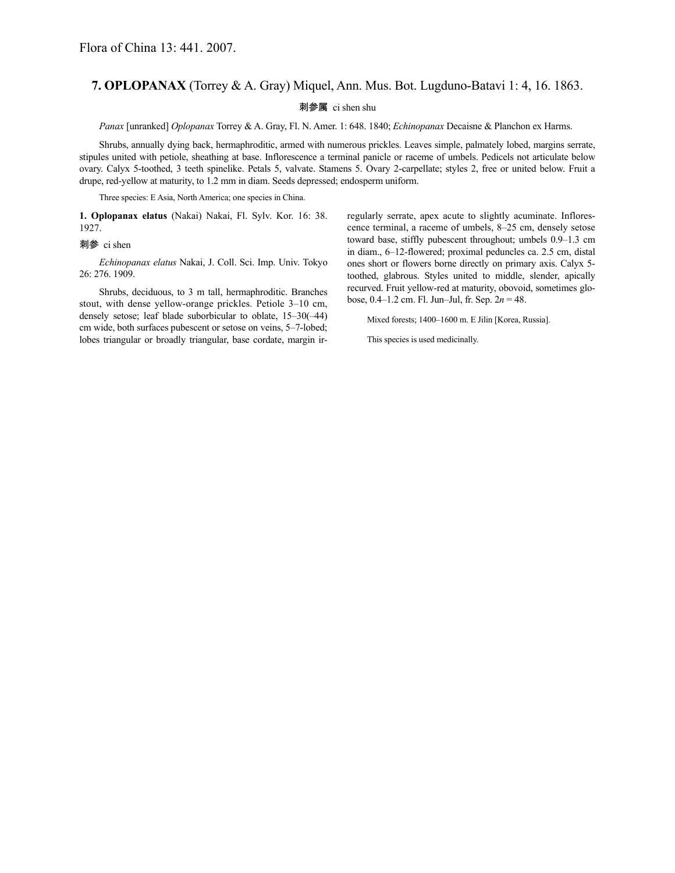## **7. OPLOPANAX** (Torrey & A. Gray) Miquel, Ann. Mus. Bot. Lugduno-Batavi 1: 4, 16. 1863.

## 刺参属 ci shen shu

*Panax* [unranked] *Oplopanax* Torrey & A. Gray, Fl. N. Amer. 1: 648. 1840; *Echinopanax* Decaisne & Planchon ex Harms.

Shrubs, annually dying back, hermaphroditic, armed with numerous prickles. Leaves simple, palmately lobed, margins serrate, stipules united with petiole, sheathing at base. Inflorescence a terminal panicle or raceme of umbels. Pedicels not articulate below ovary. Calyx 5-toothed, 3 teeth spinelike. Petals 5, valvate. Stamens 5. Ovary 2-carpellate; styles 2, free or united below. Fruit a drupe, red-yellow at maturity, to 1.2 mm in diam. Seeds depressed; endosperm uniform.

Three species: E Asia, North America; one species in China.

**1. Oplopanax elatus** (Nakai) Nakai, Fl. Sylv. Kor. 16: 38. 1927.

## 刺参 ci shen

*Echinopanax elatus* Nakai, J. Coll. Sci. Imp. Univ. Tokyo 26: 276. 1909.

Shrubs, deciduous, to 3 m tall, hermaphroditic. Branches stout, with dense yellow-orange prickles. Petiole 3–10 cm, densely setose; leaf blade suborbicular to oblate, 15–30(–44) cm wide, both surfaces pubescent or setose on veins, 5–7-lobed; lobes triangular or broadly triangular, base cordate, margin irregularly serrate, apex acute to slightly acuminate. Inflorescence terminal, a raceme of umbels, 8–25 cm, densely setose toward base, stiffly pubescent throughout; umbels 0.9–1.3 cm in diam., 6–12-flowered; proximal peduncles ca. 2.5 cm, distal ones short or flowers borne directly on primary axis. Calyx 5 toothed, glabrous. Styles united to middle, slender, apically recurved. Fruit yellow-red at maturity, obovoid, sometimes globose, 0.4–1.2 cm. Fl. Jun–Jul, fr. Sep. 2*n* = 48.

Mixed forests; 1400–1600 m. E Jilin [Korea, Russia].

This species is used medicinally.